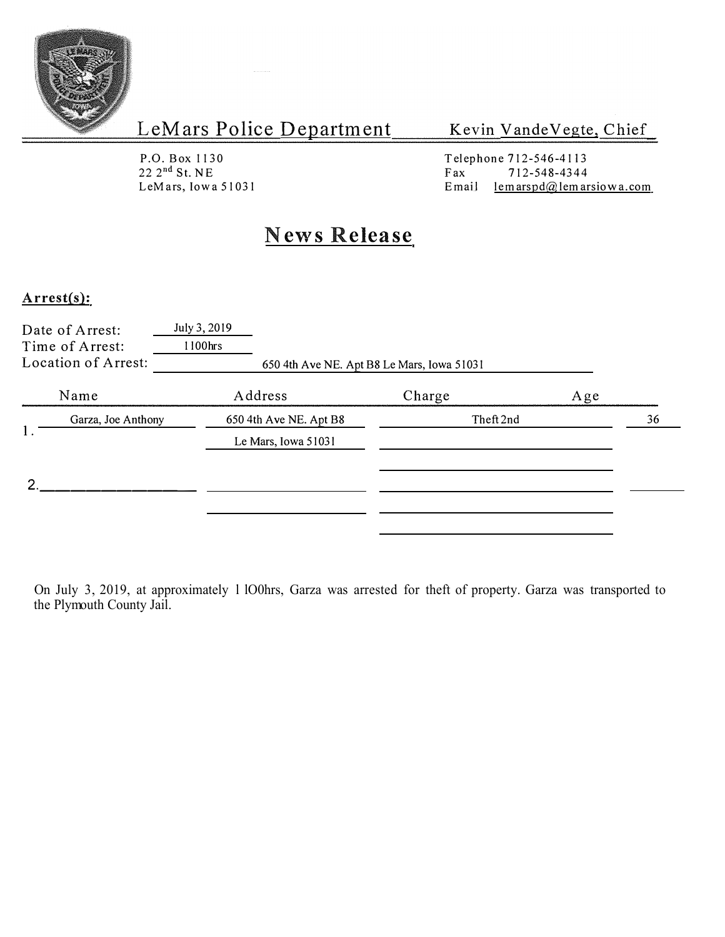

### Kevin VandeVegte, Chief

P.O.Box 1130  $22 \, 2^{nd}$  St. NE

Telephone 712-546-4113<br>Fax 712-548-4344 Fax  $712-548-4344$ <br>Email lemarspd $@$ lemar LeMars, Iowa 51031 **E** mail lemarspd@lemarsiowa.com

## **News Release**

#### **Arrest(s):**

| Date of Arrest:<br>Time of Arrest:<br>Location of Arrest: | July 3, 2019<br>1100hrs | 650 4th Ave NE. Apt B8 Le Mars, Iowa 51031    |           |     |    |
|-----------------------------------------------------------|-------------------------|-----------------------------------------------|-----------|-----|----|
| Name                                                      |                         | Address                                       | Charge    | Age |    |
| Garza, Joe Anthony<br>1.                                  |                         | 650 4th Ave NE. Apt B8<br>Le Mars, Iowa 51031 | Theft 2nd |     | 36 |
| ∍                                                         |                         |                                               |           |     |    |

On July 3, 2019, at approximately l lO0hrs, Garza was arrested for theft of property. Garza was transported to the Plymouth County Jail.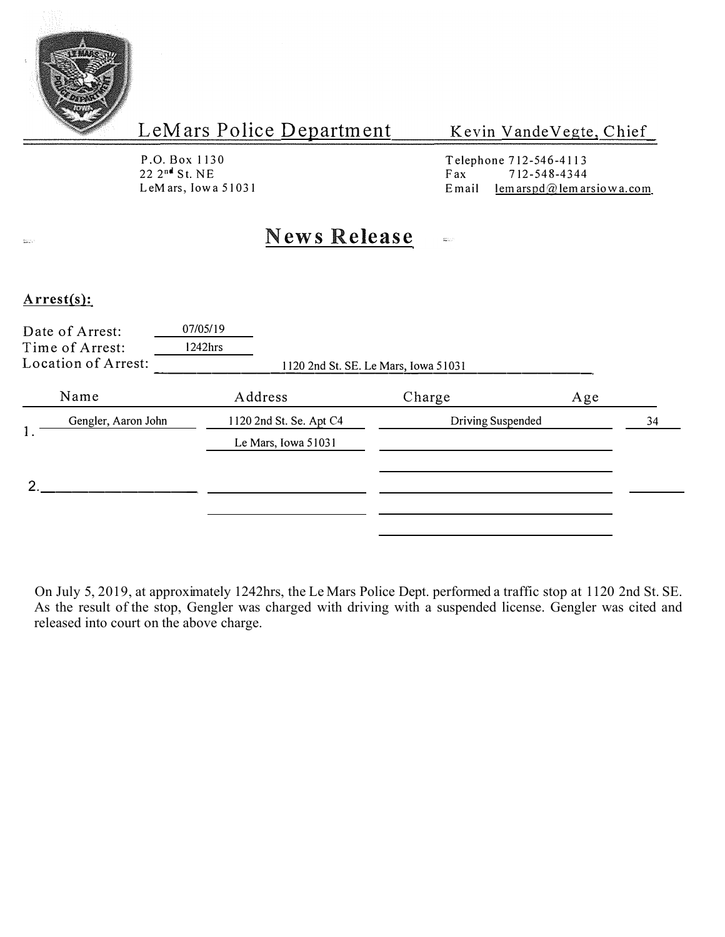

#### Kevin VandeVegte, Chief

P.O. Box 1130<br>22 2<sup>nd</sup> St. NE

Telephone 712-546-4113<br>Fax 712-548-4344  $22 \t2^{n4}$  St. NE<br>
LeM ars, Iowa 51031 Fax Fax 712-548-4344<br>
Email lem arspd $@$  lem ar E mail  $l$ em arspd@lem arsiowa.com

## **News Release**

#### **Arrest(s):**

 $\frac{\partial \mathcal{L}_{\text{max}}}{\partial \mathbf{z}}$ 

|    | Date of Arrest:<br>Time of Arrest:<br>Location of Arrest: | 07/05/19<br>$1242$ hrs                         | 1120 2nd St. SE. Le Mars, Iowa 51031 |    |
|----|-----------------------------------------------------------|------------------------------------------------|--------------------------------------|----|
|    | Name                                                      | Address                                        | Charge<br>Age                        |    |
| 1. | Gengler, Aaron John                                       | 1120 2nd St. Se. Apt C4<br>Le Mars, Iowa 51031 | Driving Suspended                    | 34 |
| ົ  |                                                           |                                                |                                      |    |

On July 5, 2019, at approximately 1242hrs, the Le Mars Police Dept. performed a traffic stop at 1120 2nd St. SE. As the result of the stop, Gengler was charged with driving with a suspended license. Gengler was cited and released into court on the above charge.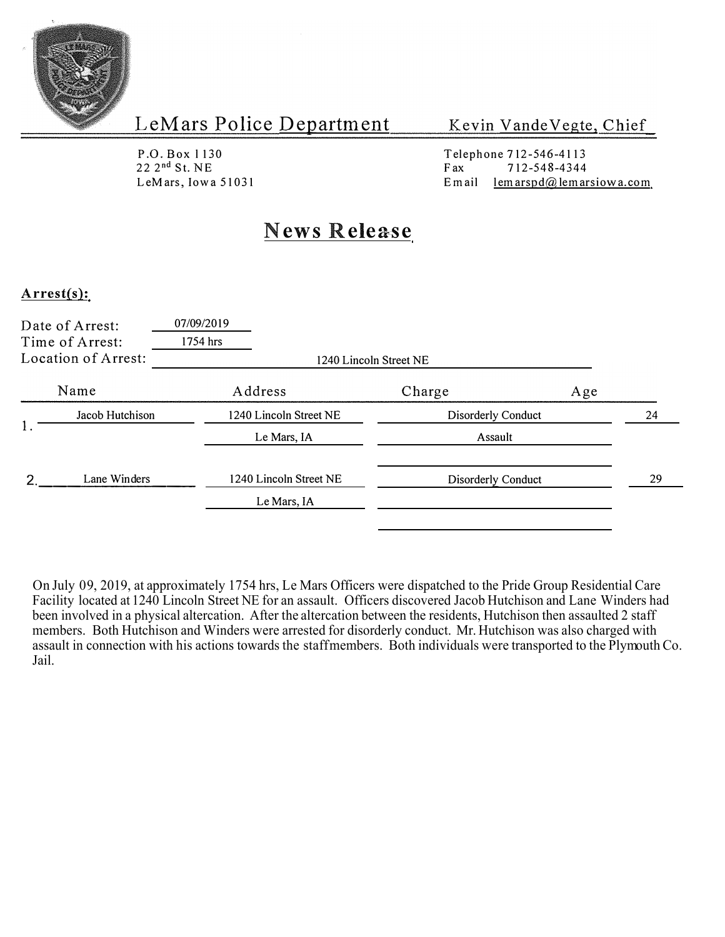

Kevin VandeVegte, Chief

P .O. Box l 130 22 2 nd St. NE L eM ars, Iowa 51031

Telephone 712-546-4113  $F$ ax 712-548-4344<br>Email lemarspd@lemar  $lemarspd@$  lemarsiowa.com

## **News Release**

#### **Arrest(s):**

|  | Date of Arrest:<br>Time of Arrest:<br>Location of Arrest: | 07/09/2019<br>1754 hrs | 1240 Lincoln Street NE |                    |     |    |
|--|-----------------------------------------------------------|------------------------|------------------------|--------------------|-----|----|
|  | Name                                                      | Address                |                        | Charge             | Age |    |
|  | Jacob Hutchison                                           | 1240 Lincoln Street NE |                        | Disorderly Conduct |     | 24 |
|  |                                                           | Le Mars, IA            |                        | Assault            |     |    |
|  | Lane Winders                                              | 1240 Lincoln Street NE |                        | Disorderly Conduct |     | 29 |
|  |                                                           | Le Mars, IA            |                        |                    |     |    |

On July 09, 2019, at approximately 1754 hrs, Le Mars Officers were dispatched to the Pride Group Residential Care Facility located at 1240 Lincoln Street NE for an assault. Officers discovered Jacob Hutchison and Lane Winders had been involved in a physical altercation. After the altercation between the residents, Hutchison then assaulted 2 staff members. Both Hutchison and Winders were arrested for disorderly conduct. Mr. Hutchison was also charged with assault in connection with his actions towards the staff members. Both individuals were transported to the Plymouth Co. Jail.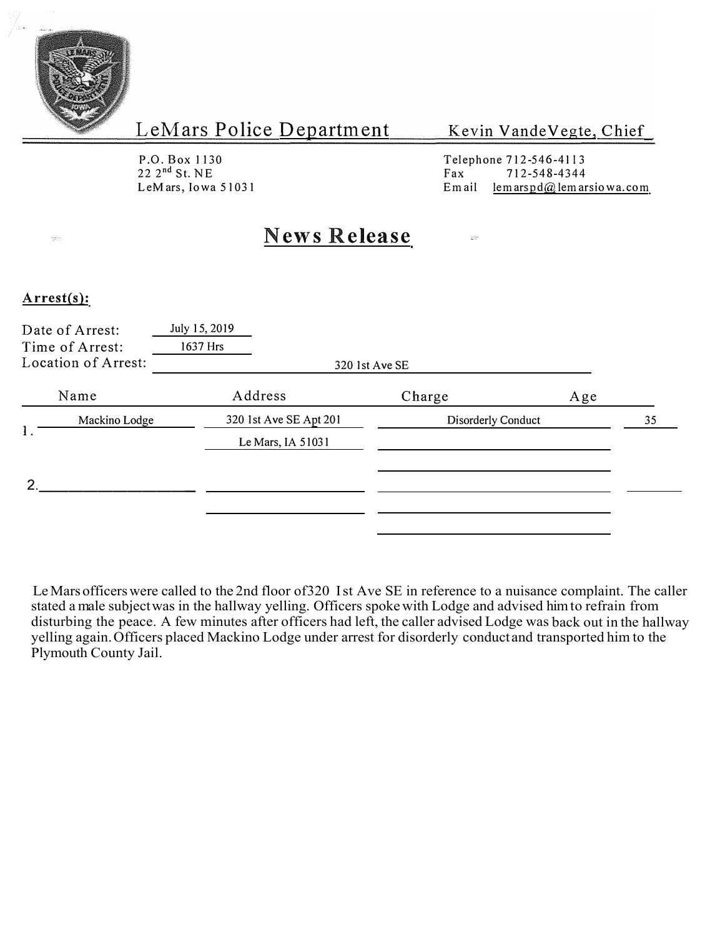

#### Kevin Vande Vegte, Chief

P.O. Box 1130 22 2 nd St. NE L eMars, Iowa 51031

Telephone 712-546-41 l 3 Fax 712-548-4344 Email lemarspd@lemarsiowa.com

 $\frac{1}{4\pi} \frac{1}{\sqrt{2}}$ 

## **News Release**

#### **Arrest(s):**

te.<br>Kristi

| Date of Arrest: | July 15, 2019<br>1637 Hrs                      | 320 1st Ave SE |                                                                          |
|-----------------|------------------------------------------------|----------------|--------------------------------------------------------------------------|
|                 | Address                                        | Charge         | Age                                                                      |
| Mackino Lodge   |                                                |                | 35                                                                       |
|                 |                                                |                |                                                                          |
|                 | Time of Arrest:<br>Location of Arrest:<br>Name |                | 320 1st Ave SE Apt 201<br><b>Disorderly Conduct</b><br>Le Mars, IA 51031 |

Le Mars officers were called to the 2nd floor of 320 Ist Ave SE in reference to a nuisance complaint. The caller stated a male subject was in the hallway yelling. Officers spoke with Lodge and advised him to refrain from disturbing the peace. A few minutes after officers had left, the caller advised Lodge was back out in the hallway yelling again. Officers placed Mackino Lodge under arrest for disorderly conduct and transported him to the Plymouth County Jail.